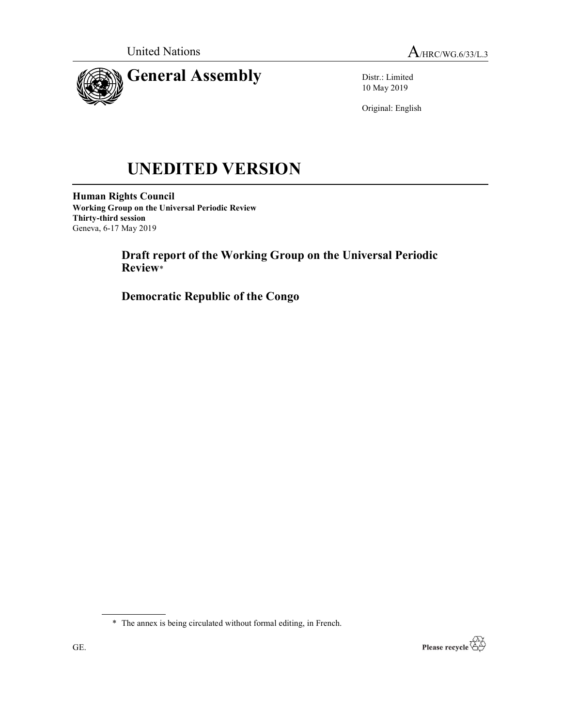

Distr.: Limited 10 May 2019

Original: English

# UNEDITED VERSION

Human Rights Council Working Group on the Universal Periodic Review Thirty-third session Geneva, 6-17 May 2019

> Draft report of the Working Group on the Universal Periodic Review\*

Democratic Republic of the Congo



<sup>\*</sup> The annex is being circulated without formal editing, in French.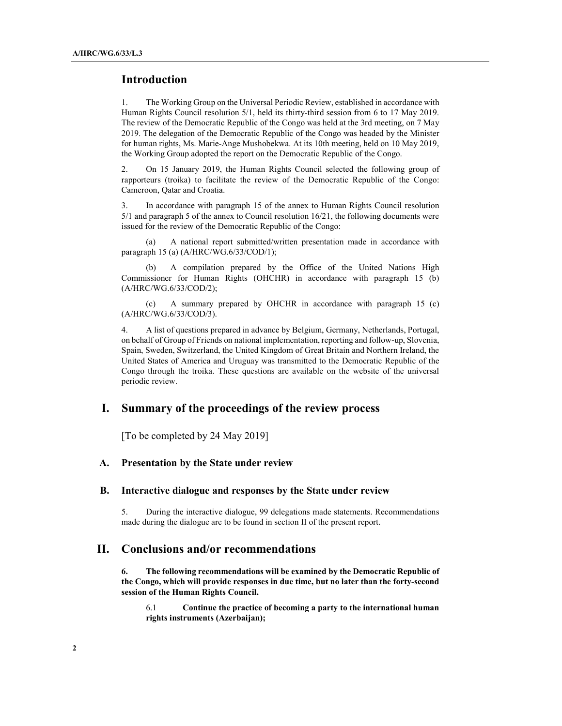### Introduction

1. The Working Group on the Universal Periodic Review, established in accordance with Human Rights Council resolution 5/1, held its thirty-third session from 6 to 17 May 2019. The review of the Democratic Republic of the Congo was held at the 3rd meeting, on 7 May 2019. The delegation of the Democratic Republic of the Congo was headed by the Minister for human rights, Ms. Marie-Ange Mushobekwa. At its 10th meeting, held on 10 May 2019, the Working Group adopted the report on the Democratic Republic of the Congo.

2. On 15 January 2019, the Human Rights Council selected the following group of rapporteurs (troika) to facilitate the review of the Democratic Republic of the Congo: Cameroon, Qatar and Croatia.

3. In accordance with paragraph 15 of the annex to Human Rights Council resolution 5/1 and paragraph 5 of the annex to Council resolution 16/21, the following documents were issued for the review of the Democratic Republic of the Congo:

 (a) A national report submitted/written presentation made in accordance with paragraph 15 (a) (A/HRC/WG.6/33/COD/1);

 (b) A compilation prepared by the Office of the United Nations High Commissioner for Human Rights (OHCHR) in accordance with paragraph 15 (b) (A/HRC/WG.6/33/COD/2);

 (c) A summary prepared by OHCHR in accordance with paragraph 15 (c) (A/HRC/WG.6/33/COD/3).

4. A list of questions prepared in advance by Belgium, Germany, Netherlands, Portugal, on behalf of Group of Friends on national implementation, reporting and follow-up, Slovenia, Spain, Sweden, Switzerland, the United Kingdom of Great Britain and Northern Ireland, the United States of America and Uruguay was transmitted to the Democratic Republic of the Congo through the troika. These questions are available on the website of the universal periodic review.

## I. Summary of the proceedings of the review process

[To be completed by 24 May 2019]

#### A. Presentation by the State under review

#### B. Interactive dialogue and responses by the State under review

5. During the interactive dialogue, 99 delegations made statements. Recommendations made during the dialogue are to be found in section II of the present report.

## II. Conclusions and/or recommendations

6. The following recommendations will be examined by the Democratic Republic of the Congo, which will provide responses in due time, but no later than the forty-second session of the Human Rights Council.

6.1 Continue the practice of becoming a party to the international human rights instruments (Azerbaijan);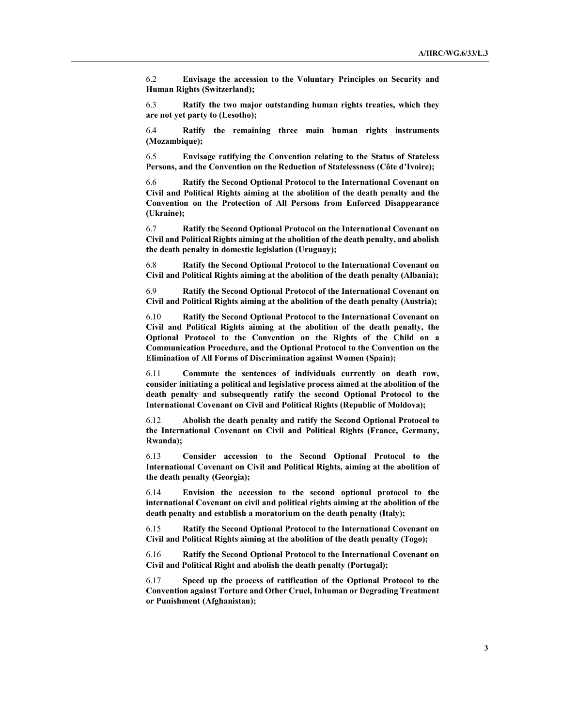6.2 Envisage the accession to the Voluntary Principles on Security and Human Rights (Switzerland);

6.3 Ratify the two major outstanding human rights treaties, which they are not yet party to (Lesotho);

6.4 Ratify the remaining three main human rights instruments (Mozambique);

6.5 Envisage ratifying the Convention relating to the Status of Stateless Persons, and the Convention on the Reduction of Statelessness (Côte d'Ivoire);

6.6 Ratify the Second Optional Protocol to the International Covenant on Civil and Political Rights aiming at the abolition of the death penalty and the Convention on the Protection of All Persons from Enforced Disappearance (Ukraine);

6.7 Ratify the Second Optional Protocol on the International Covenant on Civil and Political Rights aiming at the abolition of the death penalty, and abolish the death penalty in domestic legislation (Uruguay);

6.8 Ratify the Second Optional Protocol to the International Covenant on Civil and Political Rights aiming at the abolition of the death penalty (Albania);

6.9 Ratify the Second Optional Protocol of the International Covenant on Civil and Political Rights aiming at the abolition of the death penalty (Austria);

6.10 Ratify the Second Optional Protocol to the International Covenant on Civil and Political Rights aiming at the abolition of the death penalty, the Optional Protocol to the Convention on the Rights of the Child on a Communication Procedure, and the Optional Protocol to the Convention on the Elimination of All Forms of Discrimination against Women (Spain);

6.11 Commute the sentences of individuals currently on death row, consider initiating a political and legislative process aimed at the abolition of the death penalty and subsequently ratify the second Optional Protocol to the International Covenant on Civil and Political Rights (Republic of Moldova);

6.12 Abolish the death penalty and ratify the Second Optional Protocol to the International Covenant on Civil and Political Rights (France, Germany, Rwanda);

6.13 Consider accession to the Second Optional Protocol to the International Covenant on Civil and Political Rights, aiming at the abolition of the death penalty (Georgia);

6.14 Envision the accession to the second optional protocol to the international Covenant on civil and political rights aiming at the abolition of the death penalty and establish a moratorium on the death penalty (Italy);

6.15 Ratify the Second Optional Protocol to the International Covenant on Civil and Political Rights aiming at the abolition of the death penalty (Togo);

6.16 Ratify the Second Optional Protocol to the International Covenant on Civil and Political Right and abolish the death penalty (Portugal);

6.17 Speed up the process of ratification of the Optional Protocol to the Convention against Torture and Other Cruel, Inhuman or Degrading Treatment or Punishment (Afghanistan);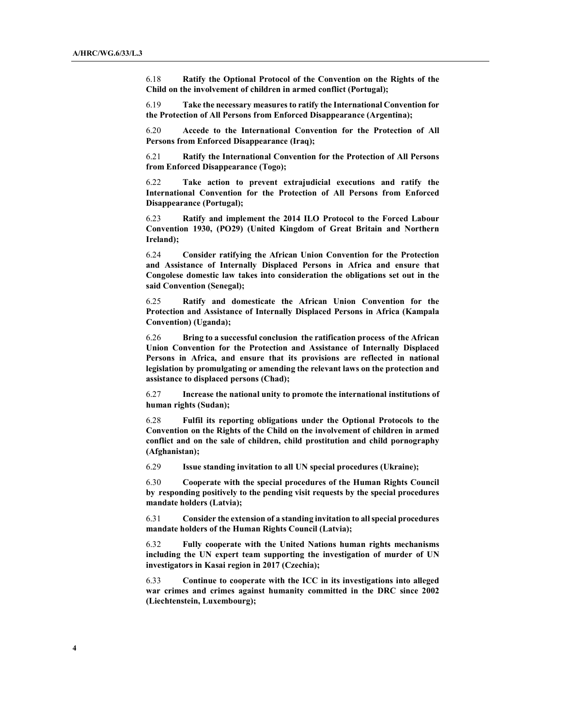6.18 Ratify the Optional Protocol of the Convention on the Rights of the Child on the involvement of children in armed conflict (Portugal);

6.19 Take the necessary measures to ratify the International Convention for the Protection of All Persons from Enforced Disappearance (Argentina);

6.20 Accede to the International Convention for the Protection of All Persons from Enforced Disappearance (Iraq);

6.21 Ratify the International Convention for the Protection of All Persons from Enforced Disappearance (Togo);

6.22 Take action to prevent extrajudicial executions and ratify the International Convention for the Protection of All Persons from Enforced Disappearance (Portugal);

6.23 Ratify and implement the 2014 ILO Protocol to the Forced Labour Convention 1930, (PO29) (United Kingdom of Great Britain and Northern Ireland);

6.24 Consider ratifying the African Union Convention for the Protection and Assistance of Internally Displaced Persons in Africa and ensure that Congolese domestic law takes into consideration the obligations set out in the said Convention (Senegal);

6.25 Ratify and domesticate the African Union Convention for the Protection and Assistance of Internally Displaced Persons in Africa (Kampala Convention) (Uganda);

6.26 Bring to a successful conclusion the ratification process of the African Union Convention for the Protection and Assistance of Internally Displaced Persons in Africa, and ensure that its provisions are reflected in national legislation by promulgating or amending the relevant laws on the protection and assistance to displaced persons (Chad);

6.27 Increase the national unity to promote the international institutions of human rights (Sudan);

6.28 Fulfil its reporting obligations under the Optional Protocols to the Convention on the Rights of the Child on the involvement of children in armed conflict and on the sale of children, child prostitution and child pornography (Afghanistan);

6.29 Issue standing invitation to all UN special procedures (Ukraine);

6.30 Cooperate with the special procedures of the Human Rights Council by responding positively to the pending visit requests by the special procedures mandate holders (Latvia);

6.31 Consider the extension of a standing invitation to all special procedures mandate holders of the Human Rights Council (Latvia);

6.32 Fully cooperate with the United Nations human rights mechanisms including the UN expert team supporting the investigation of murder of UN investigators in Kasai region in 2017 (Czechia);

6.33 Continue to cooperate with the ICC in its investigations into alleged war crimes and crimes against humanity committed in the DRC since 2002 (Liechtenstein, Luxembourg);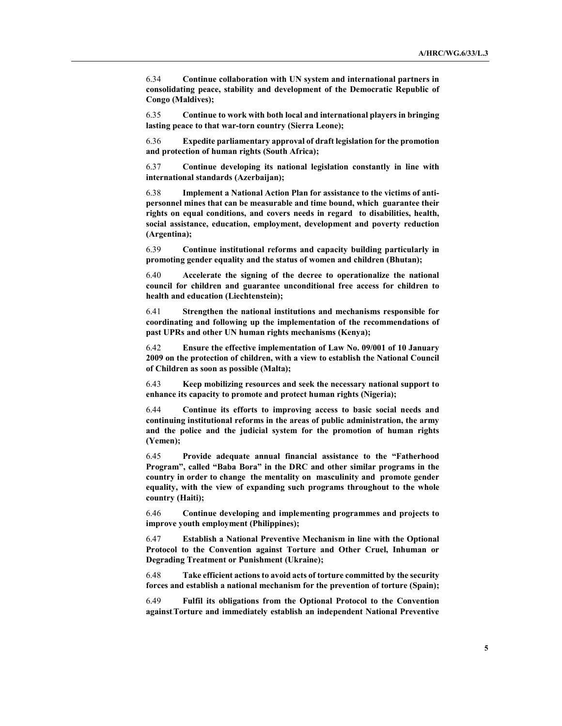6.34 Continue collaboration with UN system and international partners in consolidating peace, stability and development of the Democratic Republic of Congo (Maldives);

6.35 Continue to work with both local and international players in bringing lasting peace to that war-torn country (Sierra Leone);

6.36 Expedite parliamentary approval of draft legislation for the promotion and protection of human rights (South Africa);

6.37 Continue developing its national legislation constantly in line with international standards (Azerbaijan);

6.38 Implement a National Action Plan for assistance to the victims of antipersonnel mines that can be measurable and time bound, which guarantee their rights on equal conditions, and covers needs in regard to disabilities, health, social assistance, education, employment, development and poverty reduction (Argentina);

6.39 Continue institutional reforms and capacity building particularly in promoting gender equality and the status of women and children (Bhutan);

6.40 Accelerate the signing of the decree to operationalize the national council for children and guarantee unconditional free access for children to health and education (Liechtenstein);

6.41 Strengthen the national institutions and mechanisms responsible for coordinating and following up the implementation of the recommendations of past UPRs and other UN human rights mechanisms (Kenya);

6.42 Ensure the effective implementation of Law No. 09/001 of 10 January 2009 on the protection of children, with a view to establish the National Council of Children as soon as possible (Malta);

6.43 Keep mobilizing resources and seek the necessary national support to enhance its capacity to promote and protect human rights (Nigeria);

6.44 Continue its efforts to improving access to basic social needs and continuing institutional reforms in the areas of public administration, the army and the police and the judicial system for the promotion of human rights (Yemen);

6.45 Provide adequate annual financial assistance to the "Fatherhood Program", called "Baba Bora" in the DRC and other similar programs in the country in order to change the mentality on masculinity and promote gender equality, with the view of expanding such programs throughout to the whole country (Haiti);

6.46 Continue developing and implementing programmes and projects to improve youth employment (Philippines);

6.47 Establish a National Preventive Mechanism in line with the Optional Protocol to the Convention against Torture and Other Cruel, Inhuman or Degrading Treatment or Punishment (Ukraine);

6.48 Take efficient actions to avoid acts of torture committed by the security forces and establish a national mechanism for the prevention of torture (Spain);

6.49 Fulfil its obligations from the Optional Protocol to the Convention against Torture and immediately establish an independent National Preventive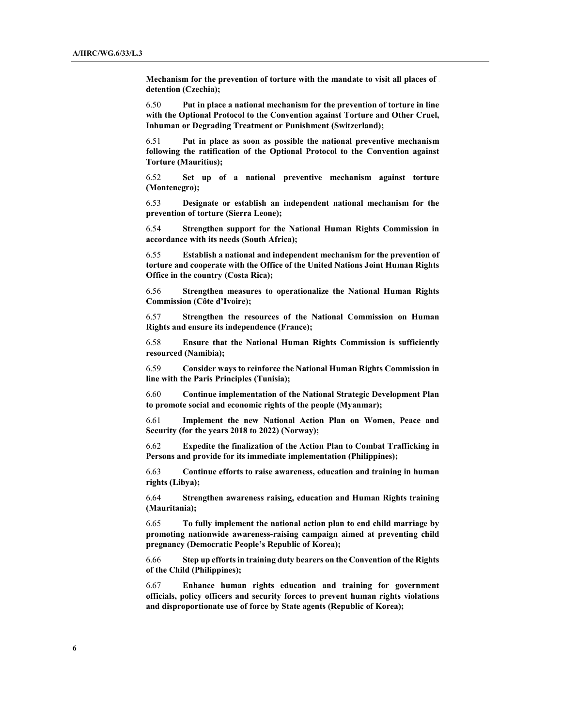Mechanism for the prevention of torture with the mandate to visit all places of detention (Czechia);

6.50 Put in place a national mechanism for the prevention of torture in line with the Optional Protocol to the Convention against Torture and Other Cruel, Inhuman or Degrading Treatment or Punishment (Switzerland);

6.51 Put in place as soon as possible the national preventive mechanism following the ratification of the Optional Protocol to the Convention against Torture (Mauritius);

6.52 Set up of a national preventive mechanism against torture (Montenegro);

6.53 Designate or establish an independent national mechanism for the prevention of torture (Sierra Leone);

6.54 Strengthen support for the National Human Rights Commission in accordance with its needs (South Africa);

6.55 Establish a national and independent mechanism for the prevention of torture and cooperate with the Office of the United Nations Joint Human Rights Office in the country (Costa Rica);

6.56 Strengthen measures to operationalize the National Human Rights Commission (Côte d'Ivoire);

6.57 Strengthen the resources of the National Commission on Human Rights and ensure its independence (France);

6.58 Ensure that the National Human Rights Commission is sufficiently resourced (Namibia);

6.59 Consider ways to reinforce the National Human Rights Commission in line with the Paris Principles (Tunisia);

6.60 Continue implementation of the National Strategic Development Plan to promote social and economic rights of the people (Myanmar);

6.61 Implement the new National Action Plan on Women, Peace and Security (for the years 2018 to 2022) (Norway);

6.62 Expedite the finalization of the Action Plan to Combat Trafficking in Persons and provide for its immediate implementation (Philippines);

6.63 Continue efforts to raise awareness, education and training in human rights (Libya);

6.64 Strengthen awareness raising, education and Human Rights training (Mauritania);

6.65 To fully implement the national action plan to end child marriage by promoting nationwide awareness-raising campaign aimed at preventing child pregnancy (Democratic People's Republic of Korea);

6.66 Step up efforts in training duty bearers on the Convention of the Rights of the Child (Philippines);

6.67 Enhance human rights education and training for government officials, policy officers and security forces to prevent human rights violations and disproportionate use of force by State agents (Republic of Korea);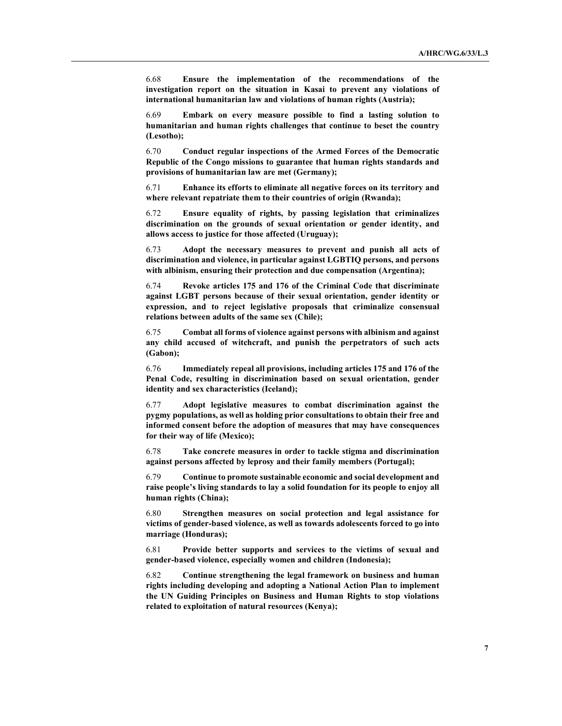6.68 Ensure the implementation of the recommendations of the investigation report on the situation in Kasai to prevent any violations of international humanitarian law and violations of human rights (Austria);

6.69 Embark on every measure possible to find a lasting solution to humanitarian and human rights challenges that continue to beset the country (Lesotho);

6.70 Conduct regular inspections of the Armed Forces of the Democratic Republic of the Congo missions to guarantee that human rights standards and provisions of humanitarian law are met (Germany);

6.71 Enhance its efforts to eliminate all negative forces on its territory and where relevant repatriate them to their countries of origin (Rwanda);

6.72 Ensure equality of rights, by passing legislation that criminalizes discrimination on the grounds of sexual orientation or gender identity, and allows access to justice for those affected (Uruguay);

6.73 Adopt the necessary measures to prevent and punish all acts of discrimination and violence, in particular against LGBTIQ persons, and persons with albinism, ensuring their protection and due compensation (Argentina);

6.74 Revoke articles 175 and 176 of the Criminal Code that discriminate against LGBT persons because of their sexual orientation, gender identity or expression, and to reject legislative proposals that criminalize consensual relations between adults of the same sex (Chile);

6.75 Combat all forms of violence against persons with albinism and against any child accused of witchcraft, and punish the perpetrators of such acts (Gabon);

6.76 Immediately repeal all provisions, including articles 175 and 176 of the Penal Code, resulting in discrimination based on sexual orientation, gender identity and sex characteristics (Iceland);

6.77 Adopt legislative measures to combat discrimination against the pygmy populations, as well as holding prior consultations to obtain their free and informed consent before the adoption of measures that may have consequences for their way of life (Mexico);

6.78 Take concrete measures in order to tackle stigma and discrimination against persons affected by leprosy and their family members (Portugal);

6.79 Continue to promote sustainable economic and social development and raise people's living standards to lay a solid foundation for its people to enjoy all human rights (China);

6.80 Strengthen measures on social protection and legal assistance for victims of gender-based violence, as well as towards adolescents forced to go into marriage (Honduras);

6.81 Provide better supports and services to the victims of sexual and gender-based violence, especially women and children (Indonesia);

6.82 Continue strengthening the legal framework on business and human rights including developing and adopting a National Action Plan to implement the UN Guiding Principles on Business and Human Rights to stop violations related to exploitation of natural resources (Kenya);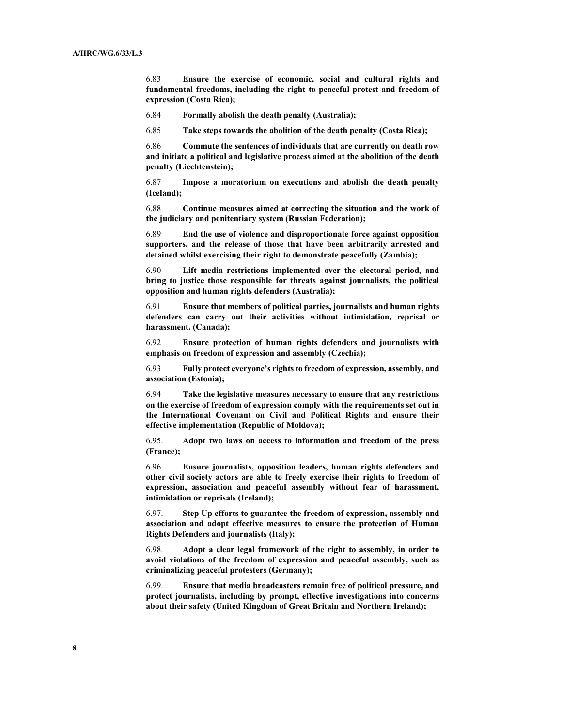6.83 Ensure the exercise of economic, social and cultural rights and fundamental freedoms, including the right to peaceful protest and freedom of expression (Costa Rica);

6.84 Formally abolish the death penalty (Australia);

6.85 Take steps towards the abolition of the death penalty (Costa Rica);

6.86 Commute the sentences of individuals that are currently on death row and initiate a political and legislative process aimed at the abolition of the death penalty (Liechtenstein);

6.87 Impose a moratorium on executions and abolish the death penalty (Iceland);

6.88 Continue measures aimed at correcting the situation and the work of the judiciary and penitentiary system (Russian Federation);

6.89 End the use of violence and disproportionate force against opposition supporters, and the release of those that have been arbitrarily arrested and detained whilst exercising their right to demonstrate peacefully (Zambia);

6.90 Lift media restrictions implemented over the electoral period, and bring to justice those responsible for threats against journalists, the political opposition and human rights defenders (Australia);

6.91 Ensure that members of political parties, journalists and human rights defenders can carry out their activities without intimidation, reprisal or harassment. (Canada);

6.92 Ensure protection of human rights defenders and journalists with emphasis on freedom of expression and assembly (Czechia);

6.93 Fully protect everyone's rights to freedom of expression, assembly, and association (Estonia);

6.94 Take the legislative measures necessary to ensure that any restrictions on the exercise of freedom of expression comply with the requirements set out in the International Covenant on Civil and Political Rights and ensure their effective implementation (Republic of Moldova);

6.95. Adopt two laws on access to information and freedom of the press (France);

6.96. Ensure journalists, opposition leaders, human rights defenders and other civil society actors are able to freely exercise their rights to freedom of expression, association and peaceful assembly without fear of harassment, intimidation or reprisals (Ireland);

6.97. Step Up efforts to guarantee the freedom of expression, assembly and association and adopt effective measures to ensure the protection of Human Rights Defenders and journalists (Italy);

6.98. Adopt a clear legal framework of the right to assembly, in order to avoid violations of the freedom of expression and peaceful assembly, such as criminalizing peaceful protesters (Germany);

6.99. Ensure that media broadcasters remain free of political pressure, and protect journalists, including by prompt, effective investigations into concerns about their safety (United Kingdom of Great Britain and Northern Ireland);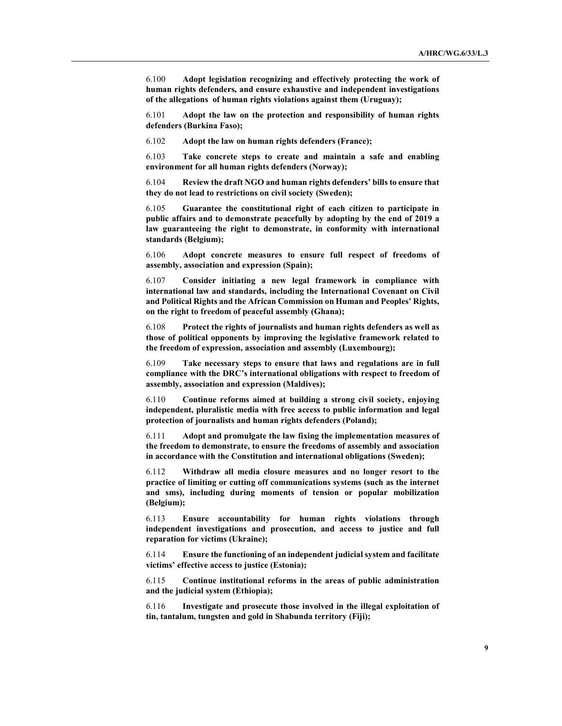6.100 Adopt legislation recognizing and effectively protecting the work of human rights defenders, and ensure exhaustive and independent investigations of the allegations of human rights violations against them (Uruguay);

6.101 Adopt the law on the protection and responsibility of human rights defenders (Burkina Faso);

6.102 Adopt the law on human rights defenders (France);

6.103 Take concrete steps to create and maintain a safe and enabling environment for all human rights defenders (Norway);

6.104 Review the draft NGO and human rights defenders' bills to ensure that they do not lead to restrictions on civil society (Sweden);

6.105 Guarantee the constitutional right of each citizen to participate in public affairs and to demonstrate peacefully by adopting by the end of 2019 a law guaranteeing the right to demonstrate, in conformity with international standards (Belgium);

6.106 Adopt concrete measures to ensure full respect of freedoms of assembly, association and expression (Spain);

6.107 Consider initiating a new legal framework in compliance with international law and standards, including the International Covenant on Civil and Political Rights and the African Commission on Human and Peoples' Rights, on the right to freedom of peaceful assembly (Ghana);

6.108 Protect the rights of journalists and human rights defenders as well as those of political opponents by improving the legislative framework related to the freedom of expression, association and assembly (Luxembourg);

6.109 Take necessary steps to ensure that laws and regulations are in full compliance with the DRC's international obligations with respect to freedom of assembly, association and expression (Maldives);

6.110 Continue reforms aimed at building a strong civil society, enjoying independent, pluralistic media with free access to public information and legal protection of journalists and human rights defenders (Poland);

6.111 Adopt and promulgate the law fixing the implementation measures of the freedom to demonstrate, to ensure the freedoms of assembly and association in accordance with the Constitution and international obligations (Sweden);

6.112 Withdraw all media closure measures and no longer resort to the practice of limiting or cutting off communications systems (such as the internet and sms), including during moments of tension or popular mobilization (Belgium);

6.113 Ensure accountability for human rights violations through independent investigations and prosecution, and access to justice and full reparation for victims (Ukraine);

6.114 Ensure the functioning of an independent judicial system and facilitate victims' effective access to justice (Estonia);

6.115 Continue institutional reforms in the areas of public administration and the judicial system (Ethiopia);

6.116 Investigate and prosecute those involved in the illegal exploitation of tin, tantalum, tungsten and gold in Shabunda territory (Fiji);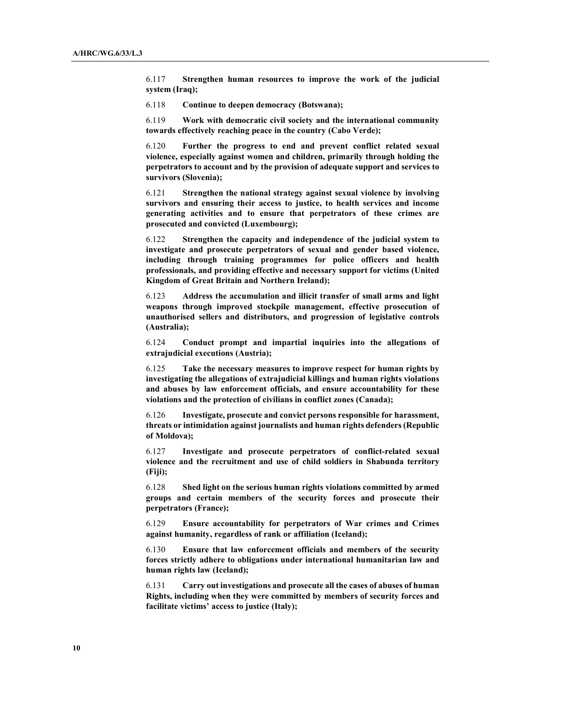6.117 Strengthen human resources to improve the work of the judicial system (Iraq);

6.118 Continue to deepen democracy (Botswana);

6.119 Work with democratic civil society and the international community towards effectively reaching peace in the country (Cabo Verde);

6.120 Further the progress to end and prevent conflict related sexual violence, especially against women and children, primarily through holding the perpetrators to account and by the provision of adequate support and services to survivors (Slovenia);

6.121 Strengthen the national strategy against sexual violence by involving survivors and ensuring their access to justice, to health services and income generating activities and to ensure that perpetrators of these crimes are prosecuted and convicted (Luxembourg);

6.122 Strengthen the capacity and independence of the judicial system to investigate and prosecute perpetrators of sexual and gender based violence, including through training programmes for police officers and health professionals, and providing effective and necessary support for victims (United Kingdom of Great Britain and Northern Ireland);

6.123 Address the accumulation and illicit transfer of small arms and light weapons through improved stockpile management, effective prosecution of unauthorised sellers and distributors, and progression of legislative controls (Australia);

6.124 Conduct prompt and impartial inquiries into the allegations of extrajudicial executions (Austria);

6.125 Take the necessary measures to improve respect for human rights by investigating the allegations of extrajudicial killings and human rights violations and abuses by law enforcement officials, and ensure accountability for these violations and the protection of civilians in conflict zones (Canada);

6.126 Investigate, prosecute and convict persons responsible for harassment, threats or intimidation against journalists and human rights defenders (Republic of Moldova);

6.127 Investigate and prosecute perpetrators of conflict-related sexual violence and the recruitment and use of child soldiers in Shabunda territory (Fiji);

6.128 Shed light on the serious human rights violations committed by armed groups and certain members of the security forces and prosecute their perpetrators (France);

6.129 Ensure accountability for perpetrators of War crimes and Crimes against humanity, regardless of rank or affiliation (Iceland);

6.130 Ensure that law enforcement officials and members of the security forces strictly adhere to obligations under international humanitarian law and human rights law (Iceland);

6.131 Carry out investigations and prosecute all the cases of abuses of human Rights, including when they were committed by members of security forces and facilitate victims' access to justice (Italy);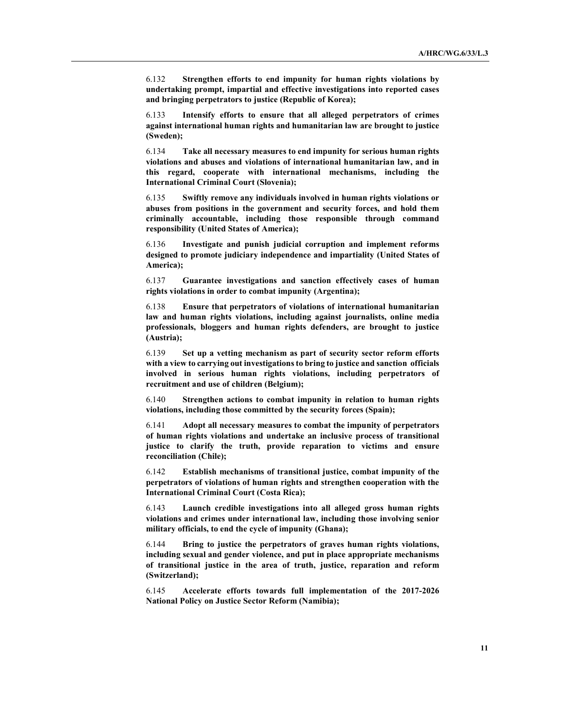6.132 Strengthen efforts to end impunity for human rights violations by undertaking prompt, impartial and effective investigations into reported cases and bringing perpetrators to justice (Republic of Korea);

6.133 Intensify efforts to ensure that all alleged perpetrators of crimes against international human rights and humanitarian law are brought to justice (Sweden);

6.134 Take all necessary measures to end impunity for serious human rights violations and abuses and violations of international humanitarian law, and in this regard, cooperate with international mechanisms, including the International Criminal Court (Slovenia);

6.135 Swiftly remove any individuals involved in human rights violations or abuses from positions in the government and security forces, and hold them criminally accountable, including those responsible through command responsibility (United States of America);

6.136 Investigate and punish judicial corruption and implement reforms designed to promote judiciary independence and impartiality (United States of America);

6.137 Guarantee investigations and sanction effectively cases of human rights violations in order to combat impunity (Argentina);

6.138 Ensure that perpetrators of violations of international humanitarian law and human rights violations, including against journalists, online media professionals, bloggers and human rights defenders, are brought to justice (Austria);

6.139 Set up a vetting mechanism as part of security sector reform efforts with a view to carrying out investigations to bring to justice and sanction officials involved in serious human rights violations, including perpetrators of recruitment and use of children (Belgium);

6.140 Strengthen actions to combat impunity in relation to human rights violations, including those committed by the security forces (Spain);

6.141 Adopt all necessary measures to combat the impunity of perpetrators of human rights violations and undertake an inclusive process of transitional justice to clarify the truth, provide reparation to victims and ensure reconciliation (Chile);

6.142 Establish mechanisms of transitional justice, combat impunity of the perpetrators of violations of human rights and strengthen cooperation with the International Criminal Court (Costa Rica);

6.143 Launch credible investigations into all alleged gross human rights violations and crimes under international law, including those involving senior military officials, to end the cycle of impunity (Ghana);

6.144 Bring to justice the perpetrators of graves human rights violations, including sexual and gender violence, and put in place appropriate mechanisms of transitional justice in the area of truth, justice, reparation and reform (Switzerland);

6.145 Accelerate efforts towards full implementation of the 2017-2026 National Policy on Justice Sector Reform (Namibia);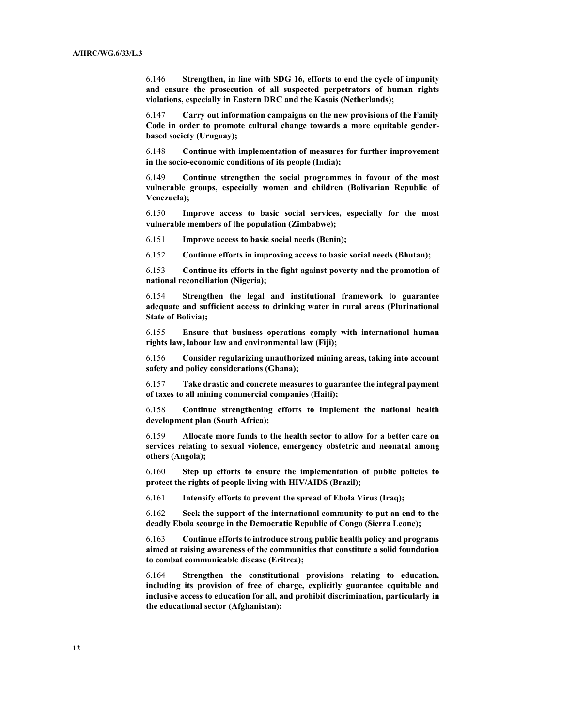6.146 Strengthen, in line with SDG 16, efforts to end the cycle of impunity and ensure the prosecution of all suspected perpetrators of human rights violations, especially in Eastern DRC and the Kasais (Netherlands);

6.147 Carry out information campaigns on the new provisions of the Family Code in order to promote cultural change towards a more equitable genderbased society (Uruguay);

6.148 Continue with implementation of measures for further improvement in the socio-economic conditions of its people (India);

6.149 Continue strengthen the social programmes in favour of the most vulnerable groups, especially women and children (Bolivarian Republic of Venezuela);

6.150 Improve access to basic social services, especially for the most vulnerable members of the population (Zimbabwe);

6.151 Improve access to basic social needs (Benin);

6.152 Continue efforts in improving access to basic social needs (Bhutan);

6.153 Continue its efforts in the fight against poverty and the promotion of national reconciliation (Nigeria);

6.154 Strengthen the legal and institutional framework to guarantee adequate and sufficient access to drinking water in rural areas (Plurinational State of Bolivia);

6.155 Ensure that business operations comply with international human rights law, labour law and environmental law (Fiji);

6.156 Consider regularizing unauthorized mining areas, taking into account safety and policy considerations (Ghana);

6.157 Take drastic and concrete measures to guarantee the integral payment of taxes to all mining commercial companies (Haiti);

6.158 Continue strengthening efforts to implement the national health development plan (South Africa);

6.159 Allocate more funds to the health sector to allow for a better care on services relating to sexual violence, emergency obstetric and neonatal among others (Angola);

6.160 Step up efforts to ensure the implementation of public policies to protect the rights of people living with HIV/AIDS (Brazil);

6.161 Intensify efforts to prevent the spread of Ebola Virus (Iraq);

6.162 Seek the support of the international community to put an end to the deadly Ebola scourge in the Democratic Republic of Congo (Sierra Leone);

6.163 Continue efforts to introduce strong public health policy and programs aimed at raising awareness of the communities that constitute a solid foundation to combat communicable disease (Eritrea);

6.164 Strengthen the constitutional provisions relating to education, including its provision of free of charge, explicitly guarantee equitable and inclusive access to education for all, and prohibit discrimination, particularly in the educational sector (Afghanistan);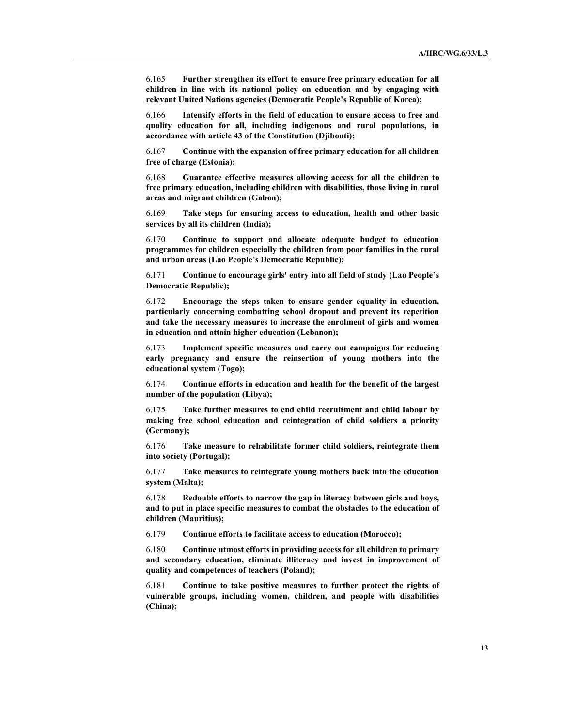6.165 Further strengthen its effort to ensure free primary education for all children in line with its national policy on education and by engaging with relevant United Nations agencies (Democratic People's Republic of Korea);

6.166 Intensify efforts in the field of education to ensure access to free and quality education for all, including indigenous and rural populations, in accordance with article 43 of the Constitution (Djibouti);

6.167 Continue with the expansion of free primary education for all children free of charge (Estonia);

6.168 Guarantee effective measures allowing access for all the children to free primary education, including children with disabilities, those living in rural areas and migrant children (Gabon);

6.169 Take steps for ensuring access to education, health and other basic services by all its children (India);

6.170 Continue to support and allocate adequate budget to education programmes for children especially the children from poor families in the rural and urban areas (Lao People's Democratic Republic);

6.171 Continue to encourage girls' entry into all field of study (Lao People's Democratic Republic);

6.172 Encourage the steps taken to ensure gender equality in education, particularly concerning combatting school dropout and prevent its repetition and take the necessary measures to increase the enrolment of girls and women in education and attain higher education (Lebanon);

6.173 Implement specific measures and carry out campaigns for reducing early pregnancy and ensure the reinsertion of young mothers into the educational system (Togo);

6.174 Continue efforts in education and health for the benefit of the largest number of the population (Libya);

6.175 Take further measures to end child recruitment and child labour by making free school education and reintegration of child soldiers a priority (Germany);

6.176 Take measure to rehabilitate former child soldiers, reintegrate them into society (Portugal);

6.177 Take measures to reintegrate young mothers back into the education system (Malta);

6.178 Redouble efforts to narrow the gap in literacy between girls and boys, and to put in place specific measures to combat the obstacles to the education of children (Mauritius);

6.179 Continue efforts to facilitate access to education (Morocco);

6.180 Continue utmost efforts in providing access for all children to primary and secondary education, eliminate illiteracy and invest in improvement of quality and competences of teachers (Poland);

6.181 Continue to take positive measures to further protect the rights of vulnerable groups, including women, children, and people with disabilities (China);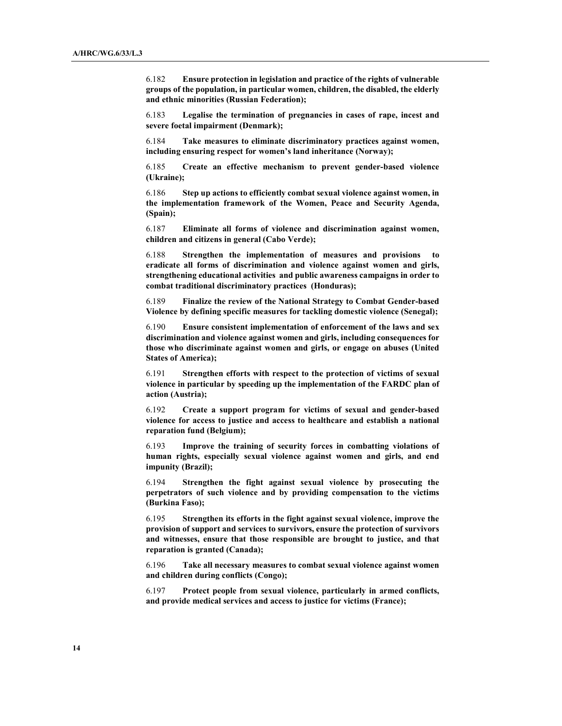6.182 Ensure protection in legislation and practice of the rights of vulnerable groups of the population, in particular women, children, the disabled, the elderly and ethnic minorities (Russian Federation);

6.183 Legalise the termination of pregnancies in cases of rape, incest and severe foetal impairment (Denmark);

6.184 Take measures to eliminate discriminatory practices against women, including ensuring respect for women's land inheritance (Norway);

6.185 Create an effective mechanism to prevent gender-based violence (Ukraine);

6.186 Step up actions to efficiently combat sexual violence against women, in the implementation framework of the Women, Peace and Security Agenda, (Spain);

6.187 Eliminate all forms of violence and discrimination against women, children and citizens in general (Cabo Verde);

6.188 Strengthen the implementation of measures and provisions to eradicate all forms of discrimination and violence against women and girls, strengthening educational activities and public awareness campaigns in order to combat traditional discriminatory practices (Honduras);

6.189 Finalize the review of the National Strategy to Combat Gender-based Violence by defining specific measures for tackling domestic violence (Senegal);

6.190 Ensure consistent implementation of enforcement of the laws and sex discrimination and violence against women and girls, including consequences for those who discriminate against women and girls, or engage on abuses (United States of America);

6.191 Strengthen efforts with respect to the protection of victims of sexual violence in particular by speeding up the implementation of the FARDC plan of action (Austria);

6.192 Create a support program for victims of sexual and gender-based violence for access to justice and access to healthcare and establish a national reparation fund (Belgium);

6.193 Improve the training of security forces in combatting violations of human rights, especially sexual violence against women and girls, and end impunity (Brazil);

6.194 Strengthen the fight against sexual violence by prosecuting the perpetrators of such violence and by providing compensation to the victims (Burkina Faso);

6.195 Strengthen its efforts in the fight against sexual violence, improve the provision of support and services to survivors, ensure the protection of survivors and witnesses, ensure that those responsible are brought to justice, and that reparation is granted (Canada);

6.196 Take all necessary measures to combat sexual violence against women and children during conflicts (Congo);

6.197 Protect people from sexual violence, particularly in armed conflicts, and provide medical services and access to justice for victims (France);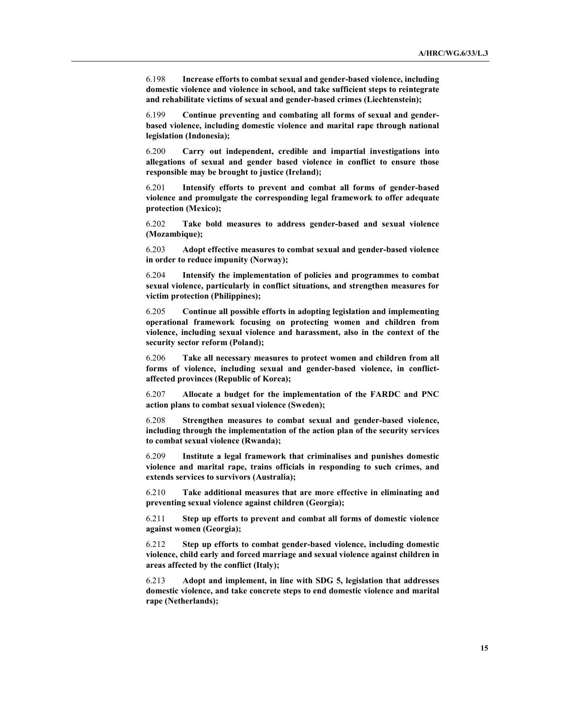6.198 Increase efforts to combat sexual and gender-based violence, including domestic violence and violence in school, and take sufficient steps to reintegrate and rehabilitate victims of sexual and gender-based crimes (Liechtenstein);

6.199 Continue preventing and combating all forms of sexual and genderbased violence, including domestic violence and marital rape through national legislation (Indonesia);

6.200 Carry out independent, credible and impartial investigations into allegations of sexual and gender based violence in conflict to ensure those responsible may be brought to justice (Ireland);

6.201 Intensify efforts to prevent and combat all forms of gender-based violence and promulgate the corresponding legal framework to offer adequate protection (Mexico);

6.202 Take bold measures to address gender-based and sexual violence (Mozambique);

6.203 Adopt effective measures to combat sexual and gender-based violence in order to reduce impunity (Norway);

6.204 Intensify the implementation of policies and programmes to combat sexual violence, particularly in conflict situations, and strengthen measures for victim protection (Philippines);

6.205 Continue all possible efforts in adopting legislation and implementing operational framework focusing on protecting women and children from violence, including sexual violence and harassment, also in the context of the security sector reform (Poland);

6.206 Take all necessary measures to protect women and children from all forms of violence, including sexual and gender-based violence, in conflictaffected provinces (Republic of Korea);

6.207 Allocate a budget for the implementation of the FARDC and PNC action plans to combat sexual violence (Sweden);

6.208 Strengthen measures to combat sexual and gender-based violence, including through the implementation of the action plan of the security services to combat sexual violence (Rwanda);

6.209 Institute a legal framework that criminalises and punishes domestic violence and marital rape, trains officials in responding to such crimes, and extends services to survivors (Australia);

6.210 Take additional measures that are more effective in eliminating and preventing sexual violence against children (Georgia);

6.211 Step up efforts to prevent and combat all forms of domestic violence against women (Georgia);

6.212 Step up efforts to combat gender-based violence, including domestic violence, child early and forced marriage and sexual violence against children in areas affected by the conflict (Italy);

6.213 Adopt and implement, in line with SDG 5, legislation that addresses domestic violence, and take concrete steps to end domestic violence and marital rape (Netherlands);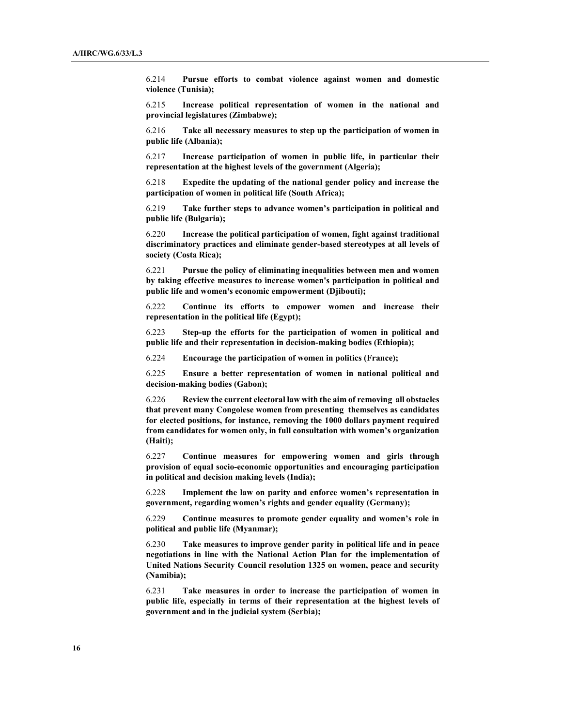6.214 Pursue efforts to combat violence against women and domestic violence (Tunisia);

6.215 Increase political representation of women in the national and provincial legislatures (Zimbabwe);

6.216 Take all necessary measures to step up the participation of women in public life (Albania);

6.217 Increase participation of women in public life, in particular their representation at the highest levels of the government (Algeria);

6.218 Expedite the updating of the national gender policy and increase the participation of women in political life (South Africa);

6.219 Take further steps to advance women's participation in political and public life (Bulgaria);

6.220 Increase the political participation of women, fight against traditional discriminatory practices and eliminate gender-based stereotypes at all levels of society (Costa Rica);

6.221 Pursue the policy of eliminating inequalities between men and women by taking effective measures to increase women's participation in political and public life and women's economic empowerment (Djibouti);

6.222 Continue its efforts to empower women and increase their representation in the political life (Egypt);

6.223 Step-up the efforts for the participation of women in political and public life and their representation in decision-making bodies (Ethiopia);

6.224 Encourage the participation of women in politics (France);

6.225 Ensure a better representation of women in national political and decision-making bodies (Gabon);

6.226 Review the current electoral law with the aim of removing all obstacles that prevent many Congolese women from presenting themselves as candidates for elected positions, for instance, removing the 1000 dollars payment required from candidates for women only, in full consultation with women's organization (Haiti);

6.227 Continue measures for empowering women and girls through provision of equal socio-economic opportunities and encouraging participation in political and decision making levels (India);

6.228 Implement the law on parity and enforce women's representation in government, regarding women's rights and gender equality (Germany);

6.229 Continue measures to promote gender equality and women's role in political and public life (Myanmar);

6.230 Take measures to improve gender parity in political life and in peace negotiations in line with the National Action Plan for the implementation of United Nations Security Council resolution 1325 on women, peace and security (Namibia);

6.231 Take measures in order to increase the participation of women in public life, especially in terms of their representation at the highest levels of government and in the judicial system (Serbia);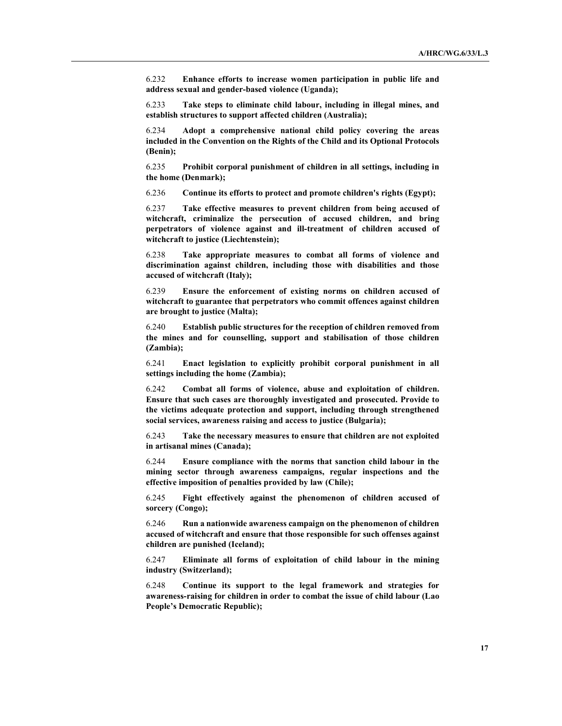6.232 Enhance efforts to increase women participation in public life and address sexual and gender-based violence (Uganda);

6.233 Take steps to eliminate child labour, including in illegal mines, and establish structures to support affected children (Australia);

6.234 Adopt a comprehensive national child policy covering the areas included in the Convention on the Rights of the Child and its Optional Protocols (Benin);

6.235 Prohibit corporal punishment of children in all settings, including in the home (Denmark);

6.236 Continue its efforts to protect and promote children's rights (Egypt);

6.237 Take effective measures to prevent children from being accused of witchcraft, criminalize the persecution of accused children, and bring perpetrators of violence against and ill-treatment of children accused of witchcraft to justice (Liechtenstein);

6.238 Take appropriate measures to combat all forms of violence and discrimination against children, including those with disabilities and those accused of witchcraft (Italy);

6.239 Ensure the enforcement of existing norms on children accused of witchcraft to guarantee that perpetrators who commit offences against children are brought to justice (Malta);

6.240 Establish public structures for the reception of children removed from the mines and for counselling, support and stabilisation of those children (Zambia);

6.241 Enact legislation to explicitly prohibit corporal punishment in all settings including the home (Zambia);

6.242 Combat all forms of violence, abuse and exploitation of children. Ensure that such cases are thoroughly investigated and prosecuted. Provide to the victims adequate protection and support, including through strengthened social services, awareness raising and access to justice (Bulgaria);

6.243 Take the necessary measures to ensure that children are not exploited in artisanal mines (Canada);

6.244 Ensure compliance with the norms that sanction child labour in the mining sector through awareness campaigns, regular inspections and the effective imposition of penalties provided by law (Chile);

6.245 Fight effectively against the phenomenon of children accused of sorcery (Congo);

6.246 Run a nationwide awareness campaign on the phenomenon of children accused of witchcraft and ensure that those responsible for such offenses against children are punished (Iceland);

6.247 Eliminate all forms of exploitation of child labour in the mining industry (Switzerland);

6.248 Continue its support to the legal framework and strategies for awareness-raising for children in order to combat the issue of child labour (Lao People's Democratic Republic);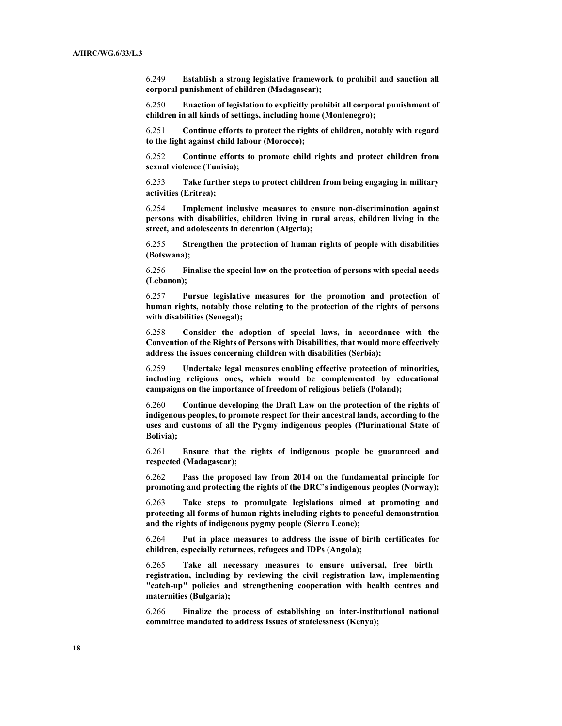6.249 Establish a strong legislative framework to prohibit and sanction all corporal punishment of children (Madagascar);

6.250 Enaction of legislation to explicitly prohibit all corporal punishment of children in all kinds of settings, including home (Montenegro);

6.251 Continue efforts to protect the rights of children, notably with regard to the fight against child labour (Morocco);

6.252 Continue efforts to promote child rights and protect children from sexual violence (Tunisia);

6.253 Take further steps to protect children from being engaging in military activities (Eritrea);

6.254 Implement inclusive measures to ensure non-discrimination against persons with disabilities, children living in rural areas, children living in the street, and adolescents in detention (Algeria);

6.255 Strengthen the protection of human rights of people with disabilities (Botswana);

6.256 Finalise the special law on the protection of persons with special needs (Lebanon);

6.257 Pursue legislative measures for the promotion and protection of human rights, notably those relating to the protection of the rights of persons with disabilities (Senegal);

6.258 Consider the adoption of special laws, in accordance with the Convention of the Rights of Persons with Disabilities, that would more effectively address the issues concerning children with disabilities (Serbia);

6.259 Undertake legal measures enabling effective protection of minorities, including religious ones, which would be complemented by educational campaigns on the importance of freedom of religious beliefs (Poland);

6.260 Continue developing the Draft Law on the protection of the rights of indigenous peoples, to promote respect for their ancestral lands, according to the uses and customs of all the Pygmy indigenous peoples (Plurinational State of Bolivia);

6.261 Ensure that the rights of indigenous people be guaranteed and respected (Madagascar);

6.262 Pass the proposed law from 2014 on the fundamental principle for promoting and protecting the rights of the DRC's indigenous peoples (Norway);

6.263 Take steps to promulgate legislations aimed at promoting and protecting all forms of human rights including rights to peaceful demonstration and the rights of indigenous pygmy people (Sierra Leone);

6.264 Put in place measures to address the issue of birth certificates for children, especially returnees, refugees and IDPs (Angola);

6.265 Take all necessary measures to ensure universal, free birth registration, including by reviewing the civil registration law, implementing "catch-up" policies and strengthening cooperation with health centres and maternities (Bulgaria);

6.266 Finalize the process of establishing an inter-institutional national committee mandated to address Issues of statelessness (Kenya);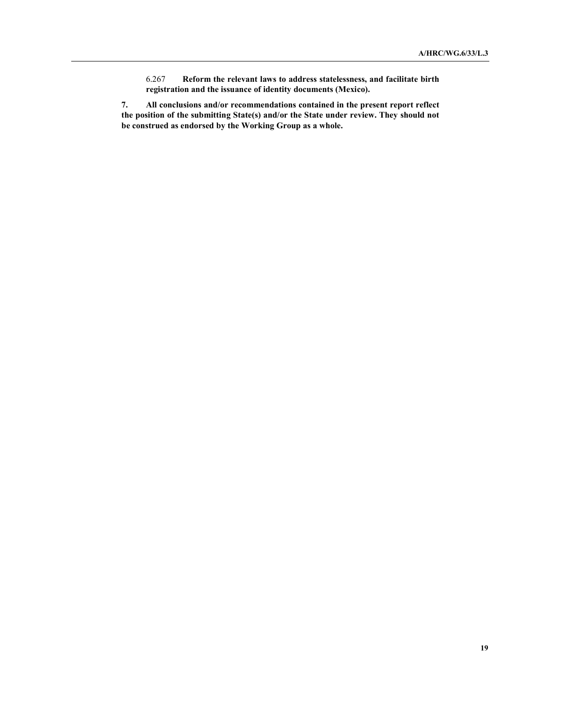6.267 Reform the relevant laws to address statelessness, and facilitate birth registration and the issuance of identity documents (Mexico).

7. All conclusions and/or recommendations contained in the present report reflect the position of the submitting State(s) and/or the State under review. They should not be construed as endorsed by the Working Group as a whole.